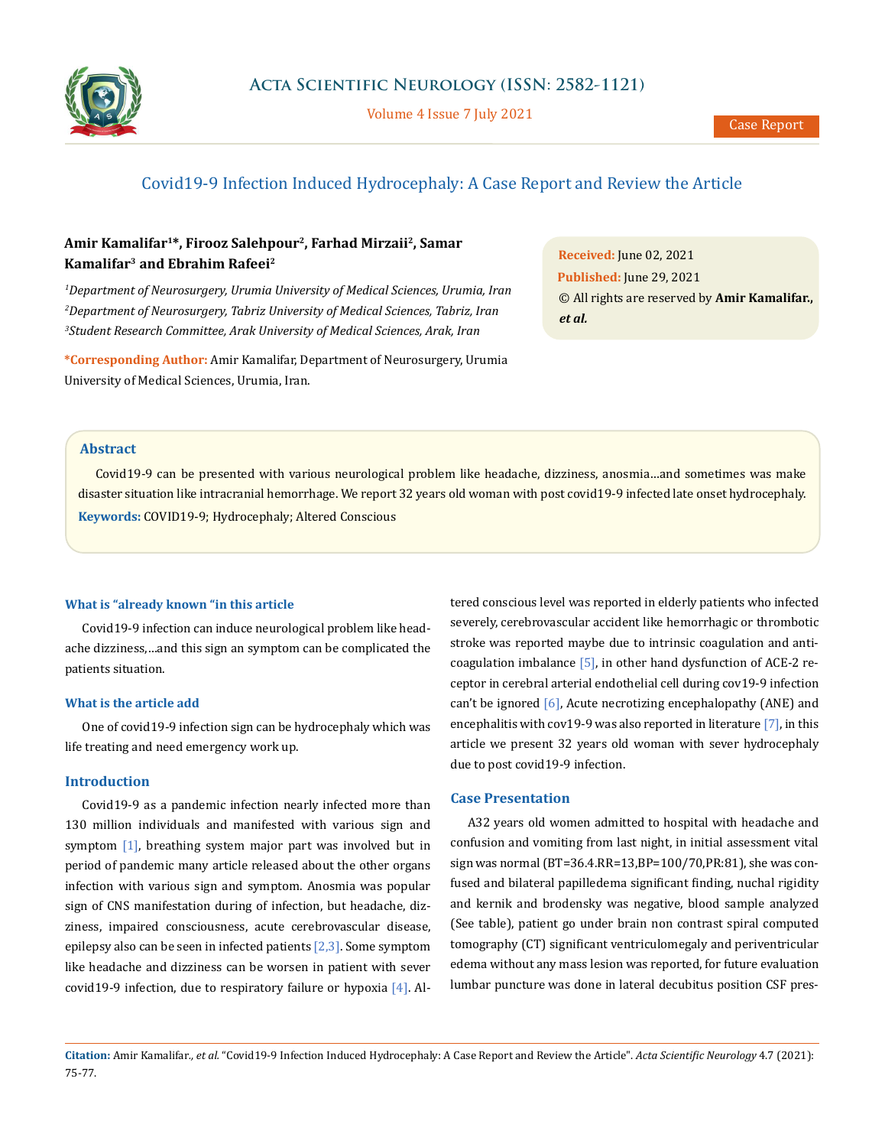

Volume 4 Issue 7 July 2021

# Covid19-9 Infection Induced Hydrocephaly: A Case Report and Review the Article

# **Amir Kamalifar1\*, Firooz Salehpour2, Farhad Mirzaii2, Samar Kamalifar3 and Ebrahim Rafeei2**

<sup>1</sup>Department of Neurosurgery, Urumia University of Medical Sciences, Urumia, Iran *2 Department of Neurosurgery, Tabriz University of Medical Sciences, Tabriz, Iran 3 Student Research Committee, Arak University of Medical Sciences, Arak, Iran*

**\*Corresponding Author:** Amir Kamalifar, Department of Neurosurgery, Urumia University of Medical Sciences, Urumia, Iran.

**Received:** June 02, 2021 **Published:** June 29, 2021 © All rights are reserved by **Amir Kamalifar.,**  *et al.*

# **Abstract**

Covid19-9 can be presented with various neurological problem like headache, dizziness, anosmia…and sometimes was make disaster situation like intracranial hemorrhage. We report 32 years old woman with post covid19-9 infected late onset hydrocephaly. **Keywords:** COVID19-9; Hydrocephaly; Altered Conscious

#### **What is "already known "in this article**

Covid19-9 infection can induce neurological problem like headache dizziness,…and this sign an symptom can be complicated the patients situation.

### **What is the article add**

One of covid19-9 infection sign can be hydrocephaly which was life treating and need emergency work up.

### **Introduction**

Covid19-9 as a pandemic infection nearly infected more than 130 million individuals and manifested with various sign and symptom [1], breathing system major part was involved but in period of pandemic many article released about the other organs infection with various sign and symptom. Anosmia was popular sign of CNS manifestation during of infection, but headache, dizziness, impaired consciousness, acute cerebrovascular disease, epilepsy also can be seen in infected patients [2,3]. Some symptom like headache and dizziness can be worsen in patient with sever covid19-9 infection, due to respiratory failure or hypoxia  $[4]$ . Altered conscious level was reported in elderly patients who infected severely, cerebrovascular accident like hemorrhagic or thrombotic stroke was reported maybe due to intrinsic coagulation and anticoagulation imbalance [5], in other hand dysfunction of ACE-2 receptor in cerebral arterial endothelial cell during cov19-9 infection can't be ignored [6], Acute necrotizing encephalopathy (ANE) and encephalitis with cov19-9 was also reported in literature  $[7]$ , in this article we present 32 years old woman with sever hydrocephaly due to post covid19-9 infection.

### **Case Presentation**

A32 years old women admitted to hospital with headache and confusion and vomiting from last night, in initial assessment vital sign was normal (BT=36.4.RR=13,BP=100/70,PR:81), she was confused and bilateral papilledema significant finding, nuchal rigidity and kernik and brodensky was negative, blood sample analyzed (See table), patient go under brain non contrast spiral computed tomography (CT) significant ventriculomegaly and periventricular edema without any mass lesion was reported, for future evaluation lumbar puncture was done in lateral decubitus position CSF pres-

**Citation:** Amir Kamalifar*., et al.* "Covid19-9 Infection Induced Hydrocephaly: A Case Report and Review the Article". *Acta Scientific Neurology* 4.7 (2021): 75-77.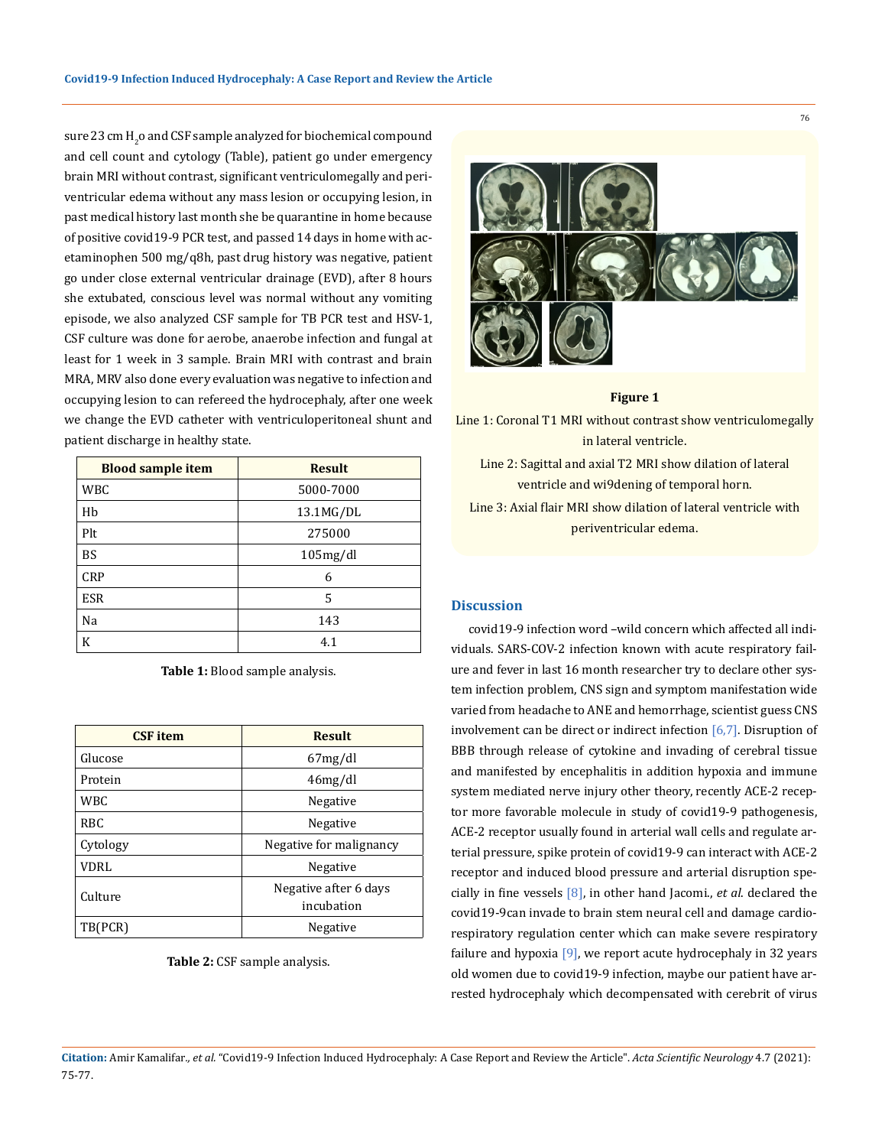sure 23 cm  $\text{H}_{\text{2}}$ o and CSF sample analyzed for biochemical compound and cell count and cytology (Table), patient go under emergency brain MRI without contrast, significant ventriculomegally and periventricular edema without any mass lesion or occupying lesion, in past medical history last month she be quarantine in home because of positive covid19-9 PCR test, and passed 14 days in home with acetaminophen 500 mg/q8h, past drug history was negative, patient go under close external ventricular drainage (EVD), after 8 hours she extubated, conscious level was normal without any vomiting episode, we also analyzed CSF sample for TB PCR test and HSV-1, CSF culture was done for aerobe, anaerobe infection and fungal at least for 1 week in 3 sample. Brain MRI with contrast and brain MRA, MRV also done every evaluation was negative to infection and occupying lesion to can refereed the hydrocephaly, after one week we change the EVD catheter with ventriculoperitoneal shunt and patient discharge in healthy state.

| <b>Blood sample item</b> | <b>Result</b> |
|--------------------------|---------------|
| WBC                      | 5000-7000     |
| Hb                       | 13.1MG/DL     |
| Plt                      | 275000        |
| <b>BS</b>                | 105mg/dl      |
| <b>CRP</b>               | 6             |
| <b>ESR</b>               | 5             |
| Na                       | 143           |
| K                        | 4.1           |

**Table 1:** Blood sample analysis.

| <b>CSF</b> item | <b>Result</b>                       |
|-----------------|-------------------------------------|
| Glucose         | 67mg/dl                             |
| Protein         | 46mg/dl                             |
| <b>WBC</b>      | Negative                            |
| RBC             | Negative                            |
| Cytology        | Negative for malignancy             |
| VDRL            | Negative                            |
| Culture         | Negative after 6 days<br>incubation |
| TB(PCR)         | Negative                            |

#### **Table 2:** CSF sample analysis.



#### **Figure 1**

Line 1: Coronal T1 MRI without contrast show ventriculomegally in lateral ventricle.

Line 2: Sagittal and axial T2 MRI show dilation of lateral ventricle and wi9dening of temporal horn. Line 3: Axial flair MRI show dilation of lateral ventricle with periventricular edema.

# **Discussion**

covid19-9 infection word –wild concern which affected all individuals. SARS-COV-2 infection known with acute respiratory failure and fever in last 16 month researcher try to declare other system infection problem, CNS sign and symptom manifestation wide varied from headache to ANE and hemorrhage, scientist guess CNS involvement can be direct or indirect infection  $[6,7]$ . Disruption of BBB through release of cytokine and invading of cerebral tissue and manifested by encephalitis in addition hypoxia and immune system mediated nerve injury other theory, recently ACE-2 receptor more favorable molecule in study of covid19-9 pathogenesis, ACE-2 receptor usually found in arterial wall cells and regulate arterial pressure, spike protein of covid19-9 can interact with ACE-2 receptor and induced blood pressure and arterial disruption specially in fine vessels [8], in other hand Jacomi., *et al*. declared the covid19-9can invade to brain stem neural cell and damage cardiorespiratory regulation center which can make severe respiratory failure and hypoxia [9], we report acute hydrocephaly in 32 years old women due to covid19-9 infection, maybe our patient have arrested hydrocephaly which decompensated with cerebrit of virus

### **Citation:** Amir Kamalifar*., et al.* "Covid19-9 Infection Induced Hydrocephaly: A Case Report and Review the Article". *Acta Scientific Neurology* 4.7 (2021): 75-77.